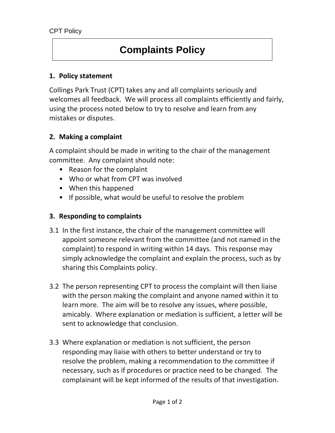# **Complaints Policy**

### **1. Policy statement**

Collings Park Trust (CPT) takes any and all complaints seriously and welcomes all feedback. We will process all complaints efficiently and fairly, using the process noted below to try to resolve and learn from any mistakes or disputes.

## **2. Making a complaint**

A complaint should be made in writing to the chair of the management committee. Any complaint should note:

- Reason for the complaint
- Who or what from CPT was involved
- When this happened
- If possible, what would be useful to resolve the problem

# **3. Responding to complaints**

- 3.1 In the first instance, the chair of the management committee will appoint someone relevant from the committee (and not named in the complaint) to respond in writing within 14 days. This response may simply acknowledge the complaint and explain the process, such as by sharing this Complaints policy.
- 3.2 The person representing CPT to process the complaint will then liaise with the person making the complaint and anyone named within it to learn more. The aim will be to resolve any issues, where possible, amicably. Where explanation or mediation is sufficient, a letter will be sent to acknowledge that conclusion.
- 3.3 Where explanation or mediation is not sufficient, the person responding may liaise with others to better understand or try to resolve the problem, making a recommendation to the committee if necessary, such as if procedures or practice need to be changed. The complainant will be kept informed of the results of that investigation.